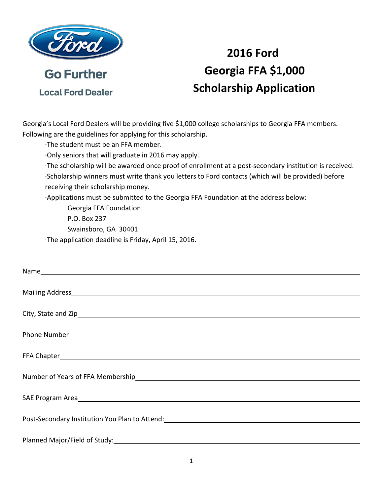

**Local Ford Dealer** 

## **2016 Ford Georgia FFA \$1,000 Scholarship Application**

Georgia's Local Ford Dealers will be providing five \$1,000 college scholarships to Georgia FFA members. Following are the guidelines for applying for this scholarship.

∙The student must be an FFA member.

∙Only seniors that will graduate in 2016 may apply.

 ∙The scholarship will be awarded once proof of enrollment at a post‐secondary institution is received. ∙Scholarship winners must write thank you letters to Ford contacts (which will be provided) before receiving their scholarship money.

∙Applications must be submitted to the Georgia FFA Foundation at the address below:

 Georgia FFA Foundation P.O. Box 237 Swainsboro, GA 30401 ∙The application deadline is Friday, April 15, 2016.

| Post-Secondary Institution You Plan to Attend: Cambridge Control of the Control of the Control of the Control o |
|-----------------------------------------------------------------------------------------------------------------|
|                                                                                                                 |
|                                                                                                                 |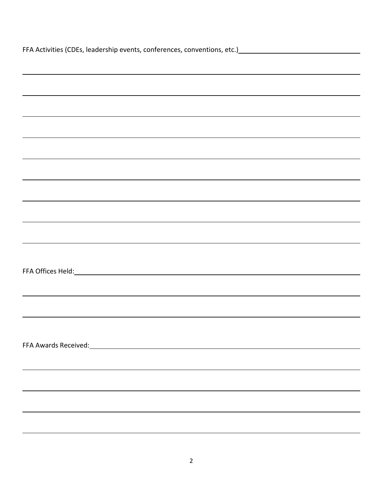| FFA Activities (CDEs, leadership events, conferences, conventions, etc.)<br>Services (CDEs, leadership events, conferences, conventions, etc.)<br>Services (CDES, leadership events, conferences, conventions, etc.) |  |  |  |  |
|----------------------------------------------------------------------------------------------------------------------------------------------------------------------------------------------------------------------|--|--|--|--|
|                                                                                                                                                                                                                      |  |  |  |  |
| <u> 1989 - Andrea Andrew Maria (h. 1989).</u>                                                                                                                                                                        |  |  |  |  |
| <u> 1989 - Andrea Andrew Maria (h. 1989).</u>                                                                                                                                                                        |  |  |  |  |
|                                                                                                                                                                                                                      |  |  |  |  |
| <u> 1989 - Andrea Andrew Maria (h. 1989).</u>                                                                                                                                                                        |  |  |  |  |
| ,我们也不会有什么。""我们的人,我们也不会有什么?""我们的人,我们也不会有什么?""我们的人,我们也不会有什么?""我们的人,我们也不会有什么?""我们的人                                                                                                                                     |  |  |  |  |
|                                                                                                                                                                                                                      |  |  |  |  |
|                                                                                                                                                                                                                      |  |  |  |  |
|                                                                                                                                                                                                                      |  |  |  |  |
|                                                                                                                                                                                                                      |  |  |  |  |
|                                                                                                                                                                                                                      |  |  |  |  |
|                                                                                                                                                                                                                      |  |  |  |  |
|                                                                                                                                                                                                                      |  |  |  |  |
| ,我们也不会有什么。""我们的人,我们也不会有什么?""我们的人,我们也不会有什么?""我们的人,我们的人,我们也不会有什么?""我们的人,我们的人,我们的人,                                                                                                                                     |  |  |  |  |
|                                                                                                                                                                                                                      |  |  |  |  |
|                                                                                                                                                                                                                      |  |  |  |  |
|                                                                                                                                                                                                                      |  |  |  |  |
|                                                                                                                                                                                                                      |  |  |  |  |
|                                                                                                                                                                                                                      |  |  |  |  |
|                                                                                                                                                                                                                      |  |  |  |  |
| FFA Awards Received: 1999 - 1999 - 1999 - 1999 - 1999 - 1999 - 1999 - 1999 - 1999 - 1999 - 1999 - 1999 - 1999                                                                                                        |  |  |  |  |
|                                                                                                                                                                                                                      |  |  |  |  |
|                                                                                                                                                                                                                      |  |  |  |  |
|                                                                                                                                                                                                                      |  |  |  |  |
|                                                                                                                                                                                                                      |  |  |  |  |
|                                                                                                                                                                                                                      |  |  |  |  |
|                                                                                                                                                                                                                      |  |  |  |  |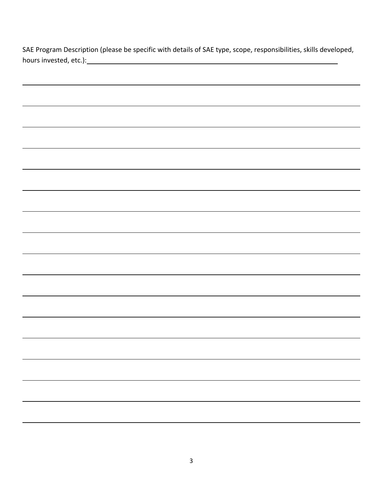| hours invested, etc.): example and the set of the set of the set of the set of the set of the set of the set of the set of the set of the set of the set of the set of the set of the set of the set of the set of the set of |  |  |  |
|-------------------------------------------------------------------------------------------------------------------------------------------------------------------------------------------------------------------------------|--|--|--|
|                                                                                                                                                                                                                               |  |  |  |
|                                                                                                                                                                                                                               |  |  |  |
|                                                                                                                                                                                                                               |  |  |  |
|                                                                                                                                                                                                                               |  |  |  |
|                                                                                                                                                                                                                               |  |  |  |
|                                                                                                                                                                                                                               |  |  |  |
|                                                                                                                                                                                                                               |  |  |  |
|                                                                                                                                                                                                                               |  |  |  |
|                                                                                                                                                                                                                               |  |  |  |
|                                                                                                                                                                                                                               |  |  |  |
|                                                                                                                                                                                                                               |  |  |  |
|                                                                                                                                                                                                                               |  |  |  |
|                                                                                                                                                                                                                               |  |  |  |
|                                                                                                                                                                                                                               |  |  |  |
|                                                                                                                                                                                                                               |  |  |  |
|                                                                                                                                                                                                                               |  |  |  |
|                                                                                                                                                                                                                               |  |  |  |
|                                                                                                                                                                                                                               |  |  |  |
|                                                                                                                                                                                                                               |  |  |  |
|                                                                                                                                                                                                                               |  |  |  |
|                                                                                                                                                                                                                               |  |  |  |
|                                                                                                                                                                                                                               |  |  |  |
|                                                                                                                                                                                                                               |  |  |  |
|                                                                                                                                                                                                                               |  |  |  |
|                                                                                                                                                                                                                               |  |  |  |
|                                                                                                                                                                                                                               |  |  |  |
|                                                                                                                                                                                                                               |  |  |  |
|                                                                                                                                                                                                                               |  |  |  |
|                                                                                                                                                                                                                               |  |  |  |
|                                                                                                                                                                                                                               |  |  |  |
|                                                                                                                                                                                                                               |  |  |  |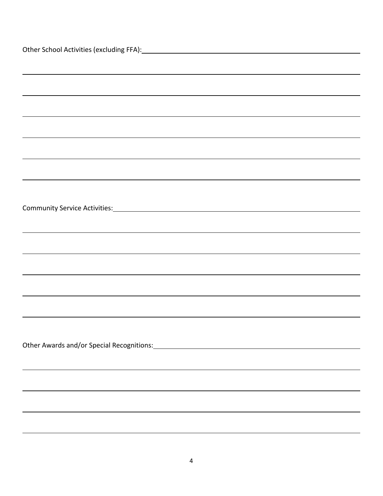| Other School Activities (excluding FFA): Management Control of Activities (excluding FFA): |
|--------------------------------------------------------------------------------------------|
|                                                                                            |
|                                                                                            |
|                                                                                            |
|                                                                                            |
|                                                                                            |
|                                                                                            |
|                                                                                            |
|                                                                                            |
|                                                                                            |
|                                                                                            |
|                                                                                            |
|                                                                                            |
|                                                                                            |
|                                                                                            |
| ,我们也不会有什么。""我们的人,我们也不会有什么?""我们的人,我们也不会有什么?""我们的人,我们也不会有什么?""我们的人,我们也不会有什么?""我们的人           |
|                                                                                            |
|                                                                                            |
|                                                                                            |
|                                                                                            |
|                                                                                            |
|                                                                                            |
|                                                                                            |
|                                                                                            |
|                                                                                            |
|                                                                                            |
|                                                                                            |
|                                                                                            |
|                                                                                            |
|                                                                                            |
|                                                                                            |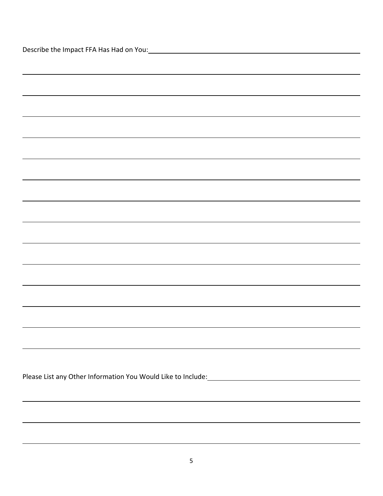| <u> 1989 - Johann Barn, amerikansk politiker (d. 1989)</u> |
|------------------------------------------------------------|
|                                                            |
| <u> 1989 - Andrea Andrew Maria (h. 1989).</u>              |